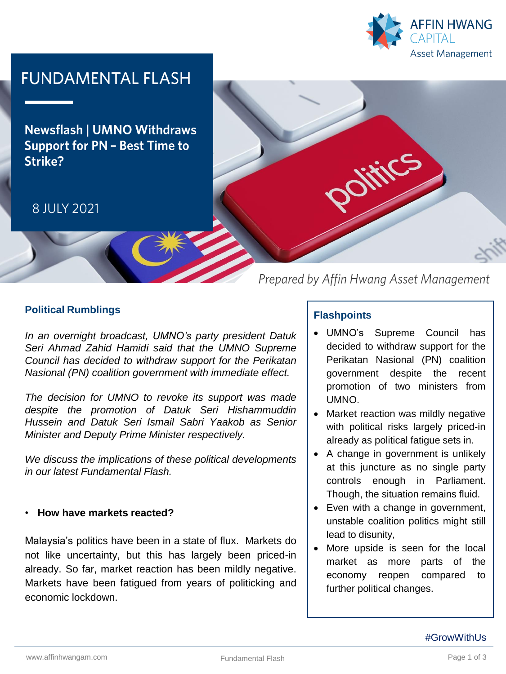

# **FUNDAMENTAL FLASH**

**Newsflash | UMNO Withdraws Support for PN - Best Time to** Strike?

## 8 JULY 2021



Prepared by Affin Hwang Asset Management

## **Political Rumblings**

*In an overnight broadcast, UMNO's party president Datuk Seri Ahmad Zahid Hamidi said that the UMNO Supreme Council has decided to withdraw support for the Perikatan Nasional (PN) coalition government with immediate effect.*

*The decision for UMNO to revoke its support was made despite the promotion of Datuk Seri Hishammuddin Hussein and Datuk Seri Ismail Sabri Yaakob as Senior Minister and Deputy Prime Minister respectively.*

*We discuss the implications of these political developments in our latest Fundamental Flash.*

#### • **How have markets reacted?**

Malaysia's politics have been in a state of flux. Markets do not like uncertainty, but this has largely been priced-in already. So far, market reaction has been mildly negative. Markets have been fatigued from years of politicking and economic lockdown.

#### **Flashpoints**

- UMNO's Supreme Council has decided to withdraw support for the Perikatan Nasional (PN) coalition government despite the recent promotion of two ministers from UMNO.
- Market reaction was mildly negative with political risks largely priced-in already as political fatigue sets in.
- A change in government is unlikely at this juncture as no single party controls enough in Parliament. Though, the situation remains fluid.
- Even with a change in government, unstable coalition politics might still lead to disunity,
- More upside is seen for the local market as more parts of the economy reopen compared to further political changes.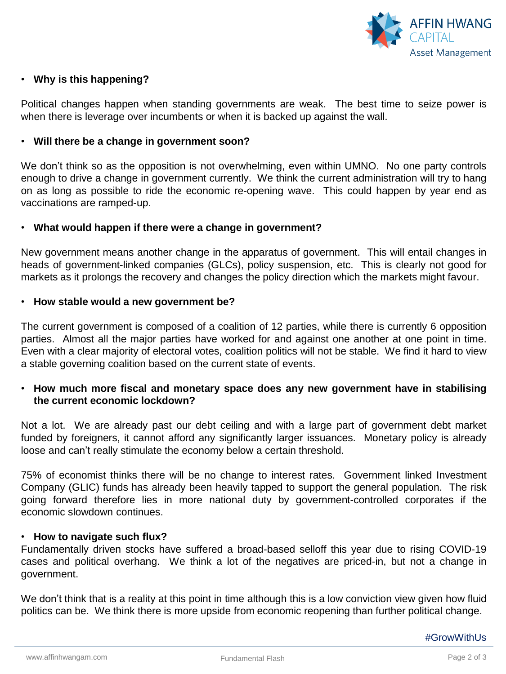

### • **Why is this happening?**

Political changes happen when standing governments are weak. The best time to seize power is when there is leverage over incumbents or when it is backed up against the wall.

#### • **Will there be a change in government soon?**

We don't think so as the opposition is not overwhelming, even within UMNO. No one party controls enough to drive a change in government currently. We think the current administration will try to hang on as long as possible to ride the economic re-opening wave. This could happen by year end as vaccinations are ramped-up.

#### • **What would happen if there were a change in government?**

New government means another change in the apparatus of government. This will entail changes in heads of government-linked companies (GLCs), policy suspension, etc. This is clearly not good for markets as it prolongs the recovery and changes the policy direction which the markets might favour.

#### • **How stable would a new government be?**

The current government is composed of a coalition of 12 parties, while there is currently 6 opposition parties. Almost all the major parties have worked for and against one another at one point in time. Even with a clear majority of electoral votes, coalition politics will not be stable. We find it hard to view a stable governing coalition based on the current state of events.

### • **How much more fiscal and monetary space does any new government have in stabilising the current economic lockdown?**

Not a lot. We are already past our debt ceiling and with a large part of government debt market funded by foreigners, it cannot afford any significantly larger issuances. Monetary policy is already loose and can't really stimulate the economy below a certain threshold.

75% of economist thinks there will be no change to interest rates. Government linked Investment Company (GLIC) funds has already been heavily tapped to support the general population. The risk going forward therefore lies in more national duty by government-controlled corporates if the economic slowdown continues.

#### • **How to navigate such flux?**

Fundamentally driven stocks have suffered a broad-based selloff this year due to rising COVID-19 cases and political overhang. We think a lot of the negatives are priced-in, but not a change in government.

We don't think that is a reality at this point in time although this is a low conviction view given how fluid politics can be. We think there is more upside from economic reopening than further political change.